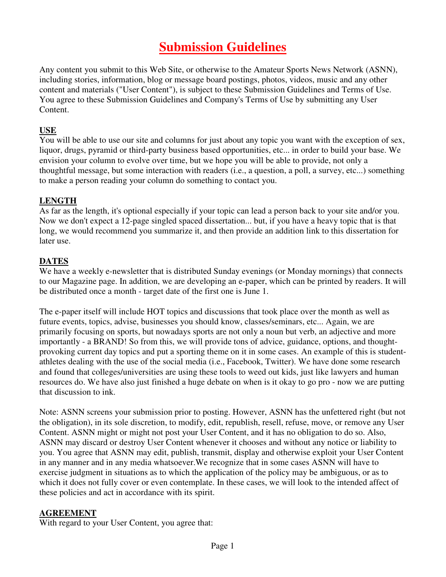# **Submission Guidelines**

Any content you submit to this Web Site, or otherwise to the Amateur Sports News Network (ASNN), including stories, information, blog or message board postings, photos, videos, music and any other content and materials ("User Content"), is subject to these Submission Guidelines and Terms of Use. You agree to these Submission Guidelines and Company's Terms of Use by submitting any User Content.

#### **USE**

You will be able to use our site and columns for just about any topic you want with the exception of sex, liquor, drugs, pyramid or third-party business based opportunities, etc... in order to build your base. We envision your column to evolve over time, but we hope you will be able to provide, not only a thoughtful message, but some interaction with readers (i.e., a question, a poll, a survey, etc...) something to make a person reading your column do something to contact you.

## **LENGTH**

As far as the length, it's optional especially if your topic can lead a person back to your site and/or you. Now we don't expect a 12-page singled spaced dissertation... but, if you have a heavy topic that is that long, we would recommend you summarize it, and then provide an addition link to this dissertation for later use.

## **DATES**

We have a weekly e-newsletter that is distributed Sunday evenings (or Monday mornings) that connects to our Magazine page. In addition, we are developing an e-paper, which can be printed by readers. It will be distributed once a month - target date of the first one is June 1.

The e-paper itself will include HOT topics and discussions that took place over the month as well as future events, topics, advise, businesses you should know, classes/seminars, etc... Again, we are primarily focusing on sports, but nowadays sports are not only a noun but verb, an adjective and more importantly - a BRAND! So from this, we will provide tons of advice, guidance, options, and thoughtprovoking current day topics and put a sporting theme on it in some cases. An example of this is studentathletes dealing with the use of the social media (i.e., Facebook, Twitter). We have done some research and found that colleges/universities are using these tools to weed out kids, just like lawyers and human resources do. We have also just finished a huge debate on when is it okay to go pro - now we are putting that discussion to ink.

Note: ASNN screens your submission prior to posting. However, ASNN has the unfettered right (but not the obligation), in its sole discretion, to modify, edit, republish, resell, refuse, move, or remove any User Content. ASNN might or might not post your User Content, and it has no obligation to do so. Also, ASNN may discard or destroy User Content whenever it chooses and without any notice or liability to you. You agree that ASNN may edit, publish, transmit, display and otherwise exploit your User Content in any manner and in any media whatsoever.We recognize that in some cases ASNN will have to exercise judgment in situations as to which the application of the policy may be ambiguous, or as to which it does not fully cover or even contemplate. In these cases, we will look to the intended affect of these policies and act in accordance with its spirit.

#### **AGREEMENT**

With regard to your User Content, you agree that: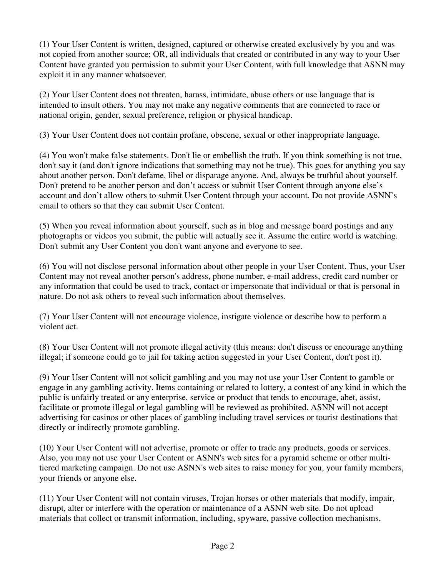(1) Your User Content is written, designed, captured or otherwise created exclusively by you and was not copied from another source; OR, all individuals that created or contributed in any way to your User Content have granted you permission to submit your User Content, with full knowledge that ASNN may exploit it in any manner whatsoever.

(2) Your User Content does not threaten, harass, intimidate, abuse others or use language that is intended to insult others. You may not make any negative comments that are connected to race or national origin, gender, sexual preference, religion or physical handicap.

(3) Your User Content does not contain profane, obscene, sexual or other inappropriate language.

(4) You won't make false statements. Don't lie or embellish the truth. If you think something is not true, don't say it (and don't ignore indications that something may not be true). This goes for anything you say about another person. Don't defame, libel or disparage anyone. And, always be truthful about yourself. Don't pretend to be another person and don't access or submit User Content through anyone else's account and don't allow others to submit User Content through your account. Do not provide ASNN's email to others so that they can submit User Content.

(5) When you reveal information about yourself, such as in blog and message board postings and any photographs or videos you submit, the public will actually see it. Assume the entire world is watching. Don't submit any User Content you don't want anyone and everyone to see.

(6) You will not disclose personal information about other people in your User Content. Thus, your User Content may not reveal another person's address, phone number, e-mail address, credit card number or any information that could be used to track, contact or impersonate that individual or that is personal in nature. Do not ask others to reveal such information about themselves.

(7) Your User Content will not encourage violence, instigate violence or describe how to perform a violent act.

(8) Your User Content will not promote illegal activity (this means: don't discuss or encourage anything illegal; if someone could go to jail for taking action suggested in your User Content, don't post it).

(9) Your User Content will not solicit gambling and you may not use your User Content to gamble or engage in any gambling activity. Items containing or related to lottery, a contest of any kind in which the public is unfairly treated or any enterprise, service or product that tends to encourage, abet, assist, facilitate or promote illegal or legal gambling will be reviewed as prohibited. ASNN will not accept advertising for casinos or other places of gambling including travel services or tourist destinations that directly or indirectly promote gambling.

(10) Your User Content will not advertise, promote or offer to trade any products, goods or services. Also, you may not use your User Content or ASNN's web sites for a pyramid scheme or other multitiered marketing campaign. Do not use ASNN's web sites to raise money for you, your family members, your friends or anyone else.

(11) Your User Content will not contain viruses, Trojan horses or other materials that modify, impair, disrupt, alter or interfere with the operation or maintenance of a ASNN web site. Do not upload materials that collect or transmit information, including, spyware, passive collection mechanisms,